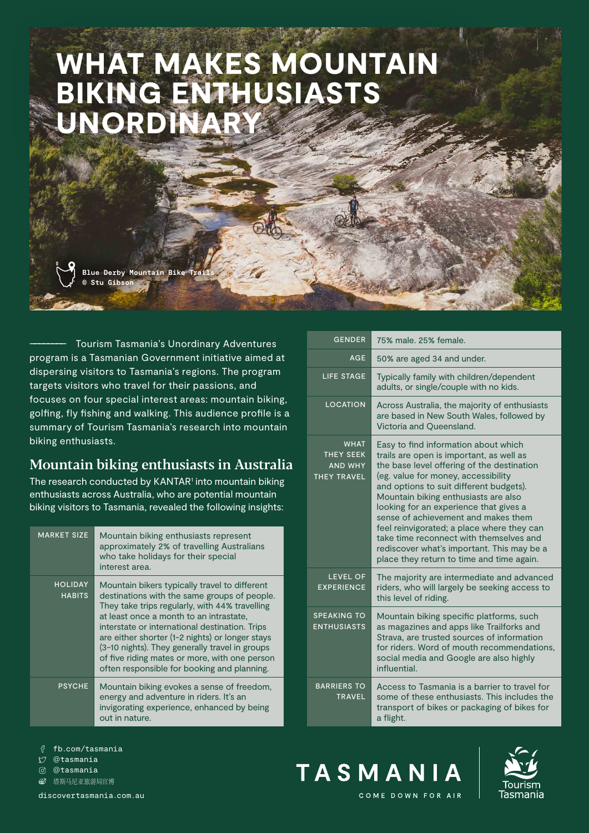# WHAT MAKES MOUNTAIN BIKING ENTHUSIASTS UNORDINARY

**Blue Derby Mountain Bike © Stu Gibson**

–––––––– Tourism Tasmania's Unordinary Adventures program is a Tasmanian Government initiative aimed at dispersing visitors to Tasmania's regions. The program targets visitors who travel for their passions, and focuses on four special interest areas: mountain biking, golfing, fly fishing and walking. This audience profile is a summary of Tourism Tasmania's research into mountain biking enthusiasts.

## Mountain biking enthusiasts in Australia

The research conducted by KANTAR<sup>1</sup> into mountain biking enthusiasts across Australia, who are potential mountain biking visitors to Tasmania, revealed the following insights:

| <b>MARKET SIZE</b>              | Mountain biking enthusiasts represent<br>approximately 2% of travelling Australians<br>who take holidays for their special<br>interest area.                                                                                                                                                                                                                                                                                                      |
|---------------------------------|---------------------------------------------------------------------------------------------------------------------------------------------------------------------------------------------------------------------------------------------------------------------------------------------------------------------------------------------------------------------------------------------------------------------------------------------------|
| <b>HOLIDAY</b><br><b>HABITS</b> | Mountain bikers typically travel to different<br>destinations with the same groups of people.<br>They take trips regularly, with 44% travelling<br>at least once a month to an intrastate,<br>interstate or international destination. Trips<br>are either shorter (1-2 nights) or longer stays<br>(3-10 nights). They generally travel in groups<br>of five riding mates or more, with one person<br>often responsible for booking and planning. |
| <b>PSYCHE</b>                   | Mountain biking evokes a sense of freedom,<br>energy and adventure in riders. It's an<br>invigorating experience, enhanced by being<br>out in nature.                                                                                                                                                                                                                                                                                             |

| <b>GENDER</b>                                                           | 75% male, 25% female.                                                                                                                                                                                                                                                                                                                                                                                                                                                                                                         |
|-------------------------------------------------------------------------|-------------------------------------------------------------------------------------------------------------------------------------------------------------------------------------------------------------------------------------------------------------------------------------------------------------------------------------------------------------------------------------------------------------------------------------------------------------------------------------------------------------------------------|
| <b>AGE</b>                                                              | 50% are aged 34 and under.                                                                                                                                                                                                                                                                                                                                                                                                                                                                                                    |
| LIFE STAGE                                                              | Typically family with children/dependent<br>adults, or single/couple with no kids.                                                                                                                                                                                                                                                                                                                                                                                                                                            |
| <b>LOCATION</b>                                                         | Across Australia, the majority of enthusiasts<br>are based in New South Wales, followed by<br>Victoria and Queensland.                                                                                                                                                                                                                                                                                                                                                                                                        |
| <b>WHAT</b><br><b>THEY SEEK</b><br><b>AND WHY</b><br><b>THEY TRAVEL</b> | Easy to find information about which<br>trails are open is important, as well as<br>the base level offering of the destination<br>(eg. value for money, accessibility<br>and options to suit different budgets).<br>Mountain biking enthusiasts are also<br>looking for an experience that gives a<br>sense of achievement and makes them<br>feel reinvigorated; a place where they can<br>take time reconnect with themselves and<br>rediscover what's important. This may be a<br>place they return to time and time again. |
| <b>LEVEL OF</b><br><b>EXPERIENCE</b>                                    | The majority are intermediate and advanced<br>riders, who will largely be seeking access to<br>this level of riding.                                                                                                                                                                                                                                                                                                                                                                                                          |
| <b>SPEAKING TO</b><br><b>ENTHUSIASTS</b>                                | Mountain biking specific platforms, such<br>as magazines and apps like Trailforks and<br>Strava, are trusted sources of information<br>for riders. Word of mouth recommendations.<br>social media and Google are also highly<br>influential.                                                                                                                                                                                                                                                                                  |
| <b>BARRIERS TO</b><br><b>TRAVEL</b>                                     | Access to Tasmania is a barrier to travel for<br>some of these enthusiasts. This includes the<br>transport of bikes or packaging of bikes for<br>a flight.                                                                                                                                                                                                                                                                                                                                                                    |

- fb.com/tasmania
- @tasmania  $\mathbb{M}$
- @tasmania
- **⑥** 塔斯马尼亚旅游局官博

[discovertasmania.com.au](https://www.discovertasmania.com.au)





COME DOWN FOR AIR